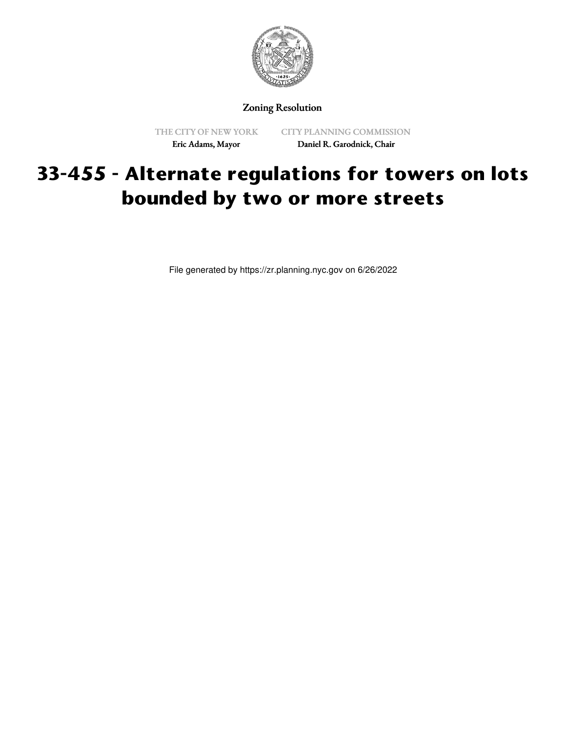

Zoning Resolution

THE CITY OF NEW YORK Eric Adams, Mayor

CITY PLANNING COMMISSION Daniel R. Garodnick, Chair

## **33-455 - Alternate regulations for towers on lots bounded by two or more streets**

File generated by https://zr.planning.nyc.gov on 6/26/2022